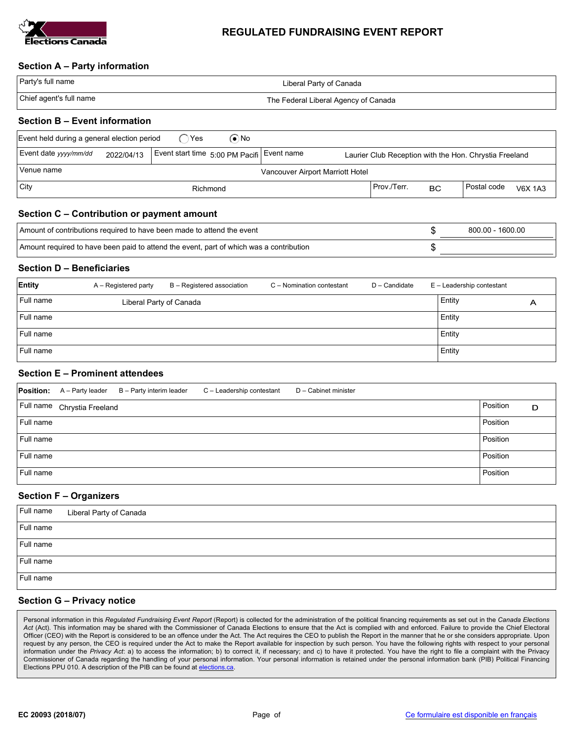

# REGULATED FUNDRAISING EVENT REPORT

## Section A – Party information

| Party's full name       | Liberal Party of Canada              |
|-------------------------|--------------------------------------|
| Chief agent's full name | The Federal Liberal Agency of Canada |

## Section B – Event information

| Event held during a general election period<br>(●`No                                                                                        |  |  |          |  |             |           |               |                |
|---------------------------------------------------------------------------------------------------------------------------------------------|--|--|----------|--|-------------|-----------|---------------|----------------|
| Event date yyyy/mm/dd<br>Event start time 5:00 PM Pacifi Event name<br>2022/04/13<br>Laurier Club Reception with the Hon. Chrystia Freeland |  |  |          |  |             |           |               |                |
| Venue name<br>Vancouver Airport Marriott Hotel                                                                                              |  |  |          |  |             |           |               |                |
| $ $ City                                                                                                                                    |  |  | Richmond |  | Prov./Terr. | <b>BC</b> | l Postal code | <b>V6X 1A3</b> |

# Section C – Contribution or payment amount

| Amount of contributions required to have been made to attend the event                  | 800.00 - 1600.00 |
|-----------------------------------------------------------------------------------------|------------------|
| Amount required to have been paid to attend the event, part of which was a contribution |                  |

#### Section D – Beneficiaries

| Entity    | A – Registered party    | B - Registered association | C - Nomination contestant | D - Candidate | E - Leadership contestant |   |
|-----------|-------------------------|----------------------------|---------------------------|---------------|---------------------------|---|
| Full name | Liberal Party of Canada |                            |                           |               | Entity                    | Α |
| Full name |                         |                            |                           |               | Entity                    |   |
| Full name |                         |                            |                           |               | Entity                    |   |
| Full name |                         |                            |                           |               | Entity                    |   |

## Section E – Prominent attendees

|           | <b>Position:</b> $A -$ Party leader | B - Party interim leader | C - Leadership contestant | D - Cabinet minister |               |
|-----------|-------------------------------------|--------------------------|---------------------------|----------------------|---------------|
|           | Full name Chrystia Freeland         |                          |                           |                      | Position<br>D |
| Full name |                                     |                          |                           |                      | Position      |
| Full name |                                     |                          |                           |                      | Position      |
| Full name |                                     |                          |                           |                      | Position      |
| Full name |                                     |                          |                           |                      | Position      |

### Section F – Organizers

| Full name | Liberal Party of Canada |
|-----------|-------------------------|
| Full name |                         |
| Full name |                         |
| Full name |                         |
| Full name |                         |

#### Section G – Privacy notice

Personal information in this Regulated Fundraising Event Report (Report) is collected for the administration of the political financing requirements as set out in the Canada Elections Act (Act). This information may be shared with the Commissioner of Canada Elections to ensure that the Act is complied with and enforced. Failure to provide the Chief Electoral Officer (CEO) with the Report is considered to be an offence under the Act. The Act requires the CEO to publish the Report in the manner that he or she considers appropriate. Upon request by any person, the CEO is required under the Act to make the Report available for inspection by such person. You have the following rights with respect to your personal information under the Privacy Act: a) to access the information; b) to correct it, if necessary; and c) to have it protected. You have the right to file a complaint with the Privacy Commissioner of Canada regarding the handling of your personal information. Your personal information is retained under the personal information bank (PIB) Political Financing Elections PPU 010. A description of the PIB can be found at elections.ca.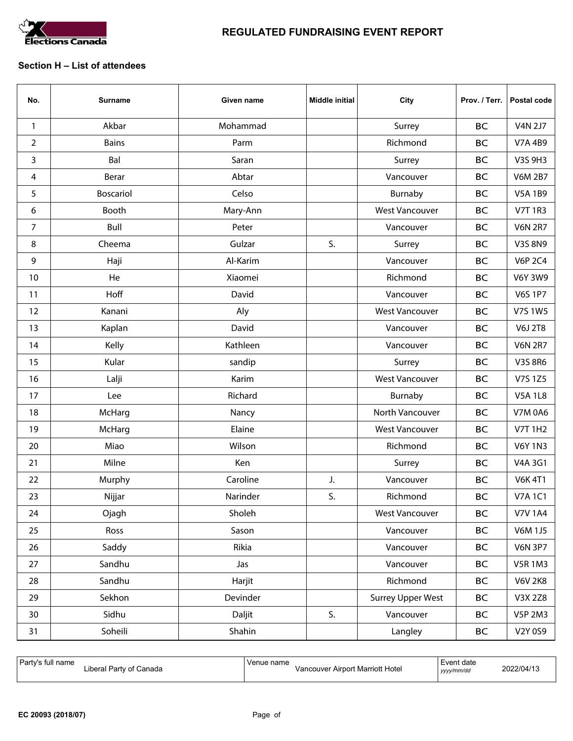

## Section H – List of attendees

| No.            | <b>Surname</b>   | Given name | <b>Middle initial</b> | City                     | Prov. / Terr. | Postal code    |
|----------------|------------------|------------|-----------------------|--------------------------|---------------|----------------|
| $\mathbf{1}$   | Akbar            | Mohammad   |                       | Surrey                   | <b>BC</b>     | <b>V4N 2J7</b> |
| $\overline{2}$ | <b>Bains</b>     | Parm       |                       | Richmond                 | <b>BC</b>     | <b>V7A 4B9</b> |
| 3              | Bal              | Saran      |                       | Surrey                   | <b>BC</b>     | V3S 9H3        |
| 4              | Berar            | Abtar      |                       | Vancouver                | <b>BC</b>     | <b>V6M 2B7</b> |
| 5              | <b>Boscariol</b> | Celso      |                       | Burnaby                  | <b>BC</b>     | <b>V5A 1B9</b> |
| 6              | Booth            | Mary-Ann   |                       | <b>West Vancouver</b>    | <b>BC</b>     | <b>V7T 1R3</b> |
| $\overline{7}$ | Bull             | Peter      |                       | Vancouver                | <b>BC</b>     | <b>V6N 2R7</b> |
| 8              | Cheema           | Gulzar     | S.                    | Surrey                   | <b>BC</b>     | V3S 8N9        |
| 9              | Haji             | Al-Karim   |                       | Vancouver                | <b>BC</b>     | <b>V6P 2C4</b> |
| 10             | He               | Xiaomei    |                       | Richmond                 | <b>BC</b>     | <b>V6Y 3W9</b> |
| 11             | Hoff             | David      |                       | Vancouver                | <b>BC</b>     | <b>V6S 1P7</b> |
| 12             | Kanani           | Aly        |                       | <b>West Vancouver</b>    | <b>BC</b>     | V7S 1W5        |
| 13             | Kaplan           | David      |                       | Vancouver                | <b>BC</b>     | <b>V6J 2T8</b> |
| 14             | Kelly            | Kathleen   |                       | Vancouver                | <b>BC</b>     | <b>V6N 2R7</b> |
| 15             | Kular            | sandip     |                       | Surrey                   | <b>BC</b>     | V3S 8R6        |
| 16             | Lalji            | Karim      |                       | <b>West Vancouver</b>    | <b>BC</b>     | V7S 1Z5        |
| 17             | Lee              | Richard    |                       | Burnaby                  | <b>BC</b>     | <b>V5A 1L8</b> |
| 18             | McHarg           | Nancy      |                       | North Vancouver          | <b>BC</b>     | <b>V7M 0A6</b> |
| 19             | McHarg           | Elaine     |                       | <b>West Vancouver</b>    | <b>BC</b>     | <b>V7T 1H2</b> |
| 20             | Miao             | Wilson     |                       | Richmond                 | <b>BC</b>     | <b>V6Y 1N3</b> |
| 21             | Milne            | Ken        |                       | Surrey                   | <b>BC</b>     | V4A 3G1        |
| 22             | Murphy           | Caroline   | J.                    | Vancouver                | <b>BC</b>     | <b>V6K 4T1</b> |
| 23             | Nijjar           | Narinder   | S.                    | Richmond                 | <b>BC</b>     | <b>V7A1C1</b>  |
| 24             | Ojagh            | Sholeh     |                       | <b>West Vancouver</b>    | <b>BC</b>     | <b>V7V 1A4</b> |
| 25             | Ross             | Sason      |                       | Vancouver                | <b>BC</b>     | <b>V6M 1J5</b> |
| 26             | Saddy            | Rikia      |                       | Vancouver                | <b>BC</b>     | <b>V6N 3P7</b> |
| 27             | Sandhu           | Jas        |                       | Vancouver                | <b>BC</b>     | <b>V5R1M3</b>  |
| 28             | Sandhu           | Harjit     |                       | Richmond                 | <b>BC</b>     | <b>V6V 2K8</b> |
| 29             | Sekhon           | Devinder   |                       | <b>Surrey Upper West</b> | <b>BC</b>     | V3X 2Z8        |
| 30             | Sidhu            | Daljit     | S.                    | Vancouver                | <b>BC</b>     | <b>V5P 2M3</b> |
| 31             | Soheili          | Shahin     |                       | Langley                  | <b>BC</b>     | V2Y 0S9        |

| Party's full name       | Venue name                       | Event date | 2022/04/13 |
|-------------------------|----------------------------------|------------|------------|
| Liberal Party of Canada | Vancouver Airport Marriott Hotel | vyyy/mm/dd |            |